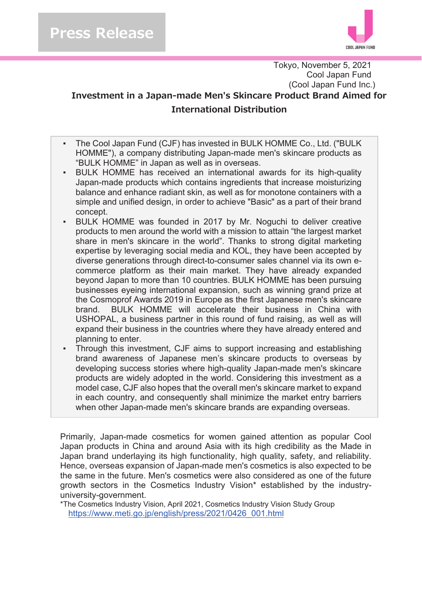

Tokyo, November 5, 2021 Cool Japan Fund (Cool Japan Fund Inc.)

### Investment in a Japan-made Men's Skincare Product Brand Aimed for **Tnternational Distribution**

- ඵ The Cool Japan Fund (CJF) has invested in BULK HOMME Co., Ltd. ("BULK HOMME"), a company distributing Japan-made men's skincare products as "BULK HOMME" in Japan as well as in overseas.
- ඵ BULK HOMME has received an international awards for its high-quality Japan-made products which contains ingredients that increase moisturizing balance and enhance radiant skin, as well as for monotone containers with a simple and unified design, in order to achieve "Basic" as a part of their brand concept.
- ඵ BULK HOMME was founded in 2017 by Mr. Noguchi to deliver creative products to men around the world with a mission to attain "the largest market share in men's skincare in the world". Thanks to strong digital marketing expertise by leveraging social media and KOL, they have been accepted by diverse generations through direct-to-consumer sales channel via its own ecommerce platform as their main market. They have already expanded beyond Japan to more than 10 countries. BULK HOMME has been pursuing businesses eyeing international expansion, such as winning grand prize at the Cosmoprof Awards 2019 in Europe as the first Japanese men's skincare brand. BULK HOMME will accelerate their business in China with USHOPAL, a business partner in this round of fund raising, as well as will expand their business in the countries where they have already entered and planning to enter.
- ඵ Through this investment, CJF aims to support increasing and establishing brand awareness of Japanese men's skincare products to overseas by developing success stories where high-quality Japan-made men's skincare products are widely adopted in the world. Considering this investment as a model case, CJF also hopes that the overall men's skincare market to expand in each country, and consequently shall minimize the market entry barriers when other Japan-made men's skincare brands are expanding overseas.

Primarily, Japan-made cosmetics for women gained attention as popular Cool Japan products in China and around Asia with its high credibility as the Made in Japan brand underlaying its high functionality, high quality, safety, and reliability. Hence, overseas expansion of Japan-made men's cosmetics is also expected to be the same in the future. Men's cosmetics were also considered as one of the future growth sectors in the Cosmetics Industry Vision\* established by the industryuniversity-government.

\*The Cosmetics Industry Vision, April 2021, Cosmetics Industry Vision Study Group https://www.meti.go.jp/english/press/2021/0426\_001.html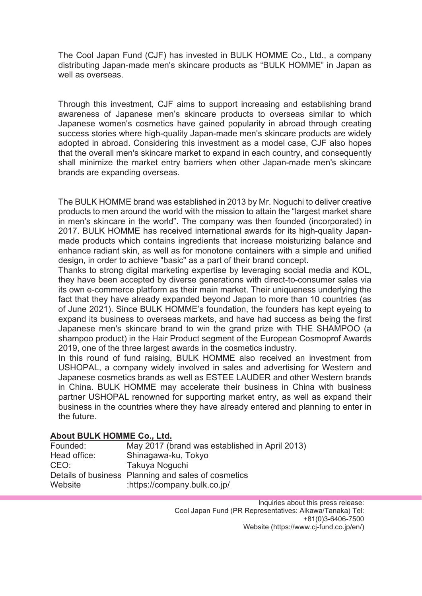The Cool Japan Fund (CJF) has invested in BULK HOMME Co., Ltd., a company distributing Japan-made men's skincare products as "BULK HOMME" in Japan as well as overseas.

Through this investment, CJF aims to support increasing and establishing brand awareness of Japanese men's skincare products to overseas similar to which Japanese women's cosmetics have gained popularity in abroad through creating success stories where high-quality Japan-made men's skincare products are widely adopted in abroad. Considering this investment as a model case, CJF also hopes that the overall men's skincare market to expand in each country, and consequently shall minimize the market entry barriers when other Japan-made men's skincare brands are expanding overseas.

The BULK HOMME brand was established in 2013 by Mr. Noguchi to deliver creative products to men around the world with the mission to attain the "largest market share in men's skincare in the world". The company was then founded (incorporated) in 2017. BULK HOMME has received international awards for its high-quality Japanmade products which contains ingredients that increase moisturizing balance and enhance radiant skin, as well as for monotone containers with a simple and unified design, in order to achieve "basic" as a part of their brand concept.

Thanks to strong digital marketing expertise by leveraging social media and KOL, they have been accepted by diverse generations with direct-to-consumer sales via its own e-commerce platform as their main market. Their uniqueness underlying the fact that they have already expanded beyond Japan to more than 10 countries (as of June 2021). Since BULK HOMME's foundation, the founders has kept eyeing to expand its business to overseas markets, and have had success as being the first Japanese men's skincare brand to win the grand prize with THE SHAMPOO (a shampoo product) in the Hair Product segment of the European Cosmoprof Awards 2019, one of the three largest awards in the cosmetics industry.

In this round of fund raising, BULK HOMME also received an investment from USHOPAL, a company widely involved in sales and advertising for Western and Japanese cosmetics brands as well as ESTEE LAUDER and other Western brands in China. BULK HOMME may accelerate their business in China with business partner USHOPAL renowned for supporting market entry, as well as expand their business in the countries where they have already entered and planning to enter in the future.

#### **About BULK HOMME Co., Ltd.**

| Founded:     | May 2017 (brand was established in April 2013)      |
|--------------|-----------------------------------------------------|
| Head office: | Shinagawa-ku, Tokyo                                 |
| CEO:         | Takuya Noguchi                                      |
|              | Details of business Planning and sales of cosmetics |
| Website      | :https://company.bulk.co.jp/                        |